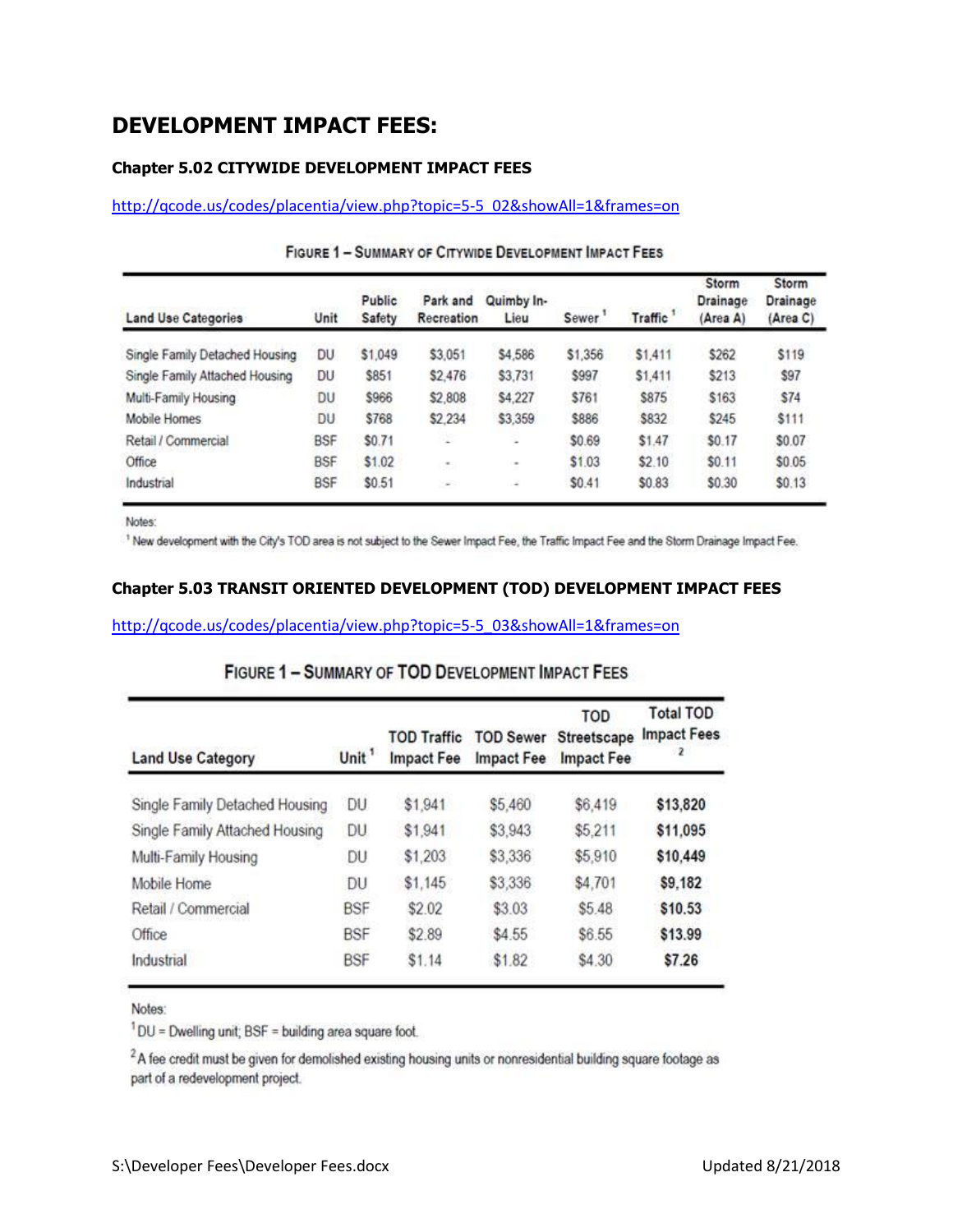# **DEVELOPMENT IMPACT FEES:**

## **Chapter 5.02 CITYWIDE DEVELOPMENT IMPACT FEES**

[http://qcode.us/codes/placentia/view.php?topic=5-5\\_02&showAll=1&frames=on](http://qcode.us/codes/placentia/view.php?topic=5-5_02&showAll=1&frames=on)

| <b>Land Use Categories</b>     | Unit       | Public<br>Safety | Park and<br>Recreation | Quimby In-<br>Lieu | Sewer.  | <b>Traffic</b> | Storm<br>Drainage<br>(Area A) | Storm<br>Drainage<br>(Area C) |
|--------------------------------|------------|------------------|------------------------|--------------------|---------|----------------|-------------------------------|-------------------------------|
| Single Family Detached Housing | DU         | \$1,049          | \$3,051                | \$4,586            | \$1,356 | \$1,411        | \$262                         | \$119                         |
| Single Family Attached Housing | DU         | \$851            | \$2,476                | \$3,731            | \$997   | \$1,411        | \$213                         | \$97                          |
| Multi-Family Housing           | DU         | \$966            | \$2,808                | \$4,227            | \$761   | \$875          | \$163                         | \$74                          |
| Mobile Homes                   | <b>DU</b>  | \$768            | \$2,234                | \$3,359            | \$886   | \$832          | \$245                         | \$111                         |
| Retail / Commercial            | <b>BSF</b> | \$0.71           | ×                      | s.                 | \$0.69  | \$1.47         | \$0.17                        | \$0.07                        |
| Office                         | <b>BSF</b> | \$1.02           | $\sim$                 | ٠                  | \$1.03  | \$2.10         | \$0.11                        | \$0.05                        |
| Industrial                     | <b>BSF</b> | \$0.51           | $\sim$                 | ¥                  | \$0.41  | \$0.83         | \$0.30                        | \$0.13                        |

## FIGURE 1 - SUMMARY OF CITYWIDE DEVELOPMENT IMPACT FEES

Notes:

<sup>1</sup> New development with the City's TOD area is not subject to the Sewer Impact Fee, the Traffic Impact Fee and the Storm Drainage Impact Fee.

#### **Chapter 5.03 TRANSIT ORIENTED DEVELOPMENT (TOD) DEVELOPMENT IMPACT FEES**

[http://qcode.us/codes/placentia/view.php?topic=5-5\\_03&showAll=1&frames=on](http://qcode.us/codes/placentia/view.php?topic=5-5_03&showAll=1&frames=on)

|  |  | <b>FIGURE 1 - SUMMARY OF TOD DEVELOPMENT IMPACT FEES</b> |  |
|--|--|----------------------------------------------------------|--|
|  |  |                                                          |  |

| <b>Land Use Category</b>       | Unit <sup>1</sup> | <b>TOD Traffic</b><br><b>Impact Fee</b> | <b>TOD Sewer</b><br>Impact Fee | TOD<br>Streetscape<br>Impact Fee | <b>Total TOD</b><br><b>Impact Fees</b><br>2 |
|--------------------------------|-------------------|-----------------------------------------|--------------------------------|----------------------------------|---------------------------------------------|
| Single Family Detached Housing | DU                | \$1,941                                 | \$5,460                        | \$6,419                          | \$13,820                                    |
| Single Family Attached Housing | DU                | \$1,941                                 | \$3,943                        | \$5.211                          | \$11,095                                    |
| Multi-Family Housing           | DU                | \$1,203                                 | \$3,336                        | \$5,910                          | \$10,449                                    |
| Mobile Home                    | DU                | \$1,145                                 | \$3,336                        | \$4,701                          | \$9,182                                     |
| Retail / Commercial            | <b>BSF</b>        | \$2.02                                  | \$3.03                         | \$5.48                           | \$10.53                                     |
| Office                         | <b>BSF</b>        | \$2.89                                  | \$4.55                         | \$6.55                           | \$13.99                                     |
| Industrial                     | <b>BSF</b>        | \$1.14                                  | \$1.82                         | \$4.30                           | \$7.26                                      |

Notes:

<sup>1</sup>DU = Dwelling unit; BSF = building area square foot.

<sup>2</sup>A fee credit must be given for demolished existing housing units or nonresidential building square footage as part of a redevelopment project.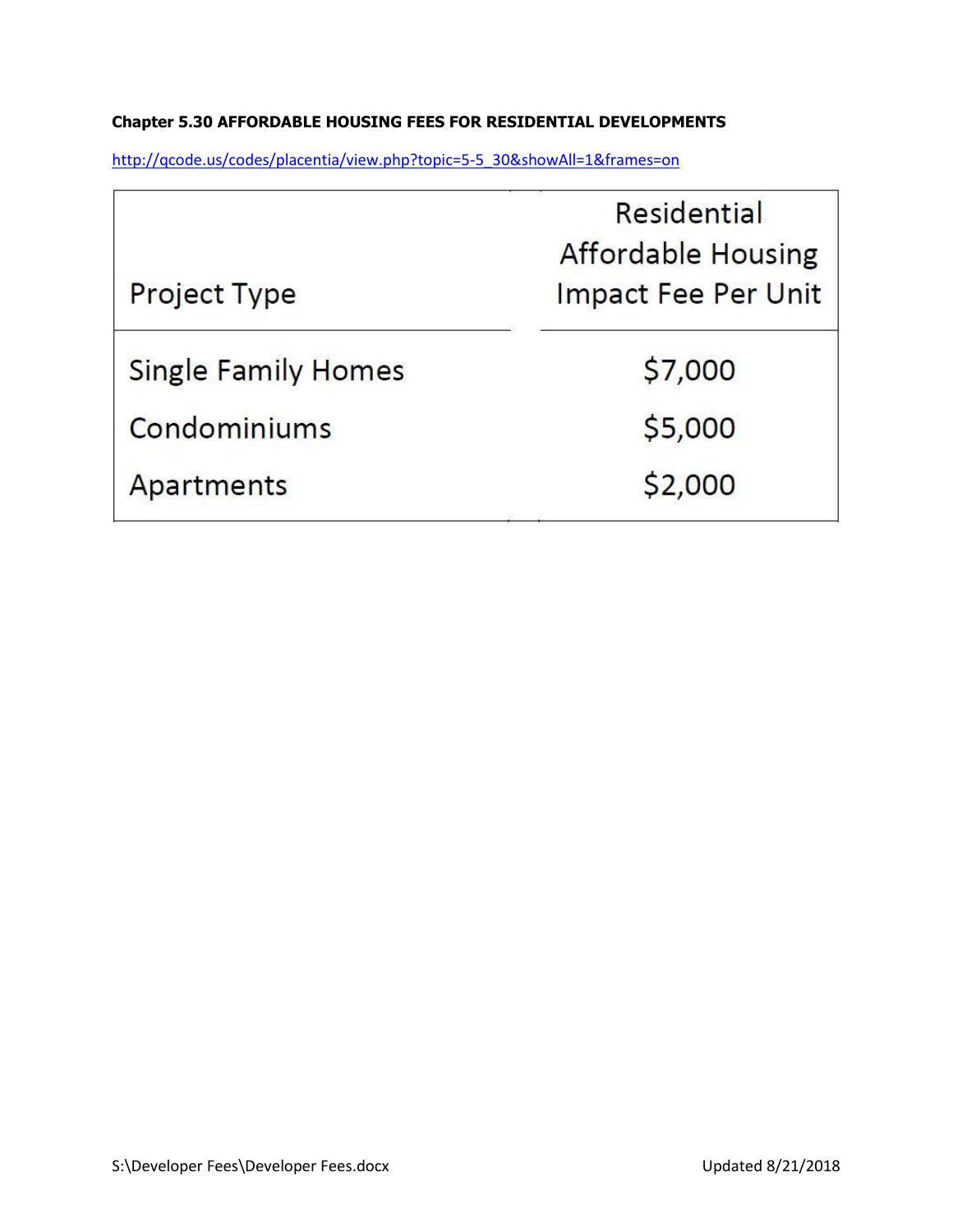## **Chapter 5.30 AFFORDABLE HOUSING FEES FOR RESIDENTIAL DEVELOPMENTS**

[http://qcode.us/codes/placentia/view.php?topic=5-5\\_30&showAll=1&frames=on](http://qcode.us/codes/placentia/view.php?topic=5-5_30&showAll=1&frames=on)

|                            | Residential<br><b>Affordable Housing</b> |
|----------------------------|------------------------------------------|
| <b>Project Type</b>        | <b>Impact Fee Per Unit</b>               |
| <b>Single Family Homes</b> | \$7,000                                  |
| Condominiums               | \$5,000                                  |
| Apartments                 | \$2,000                                  |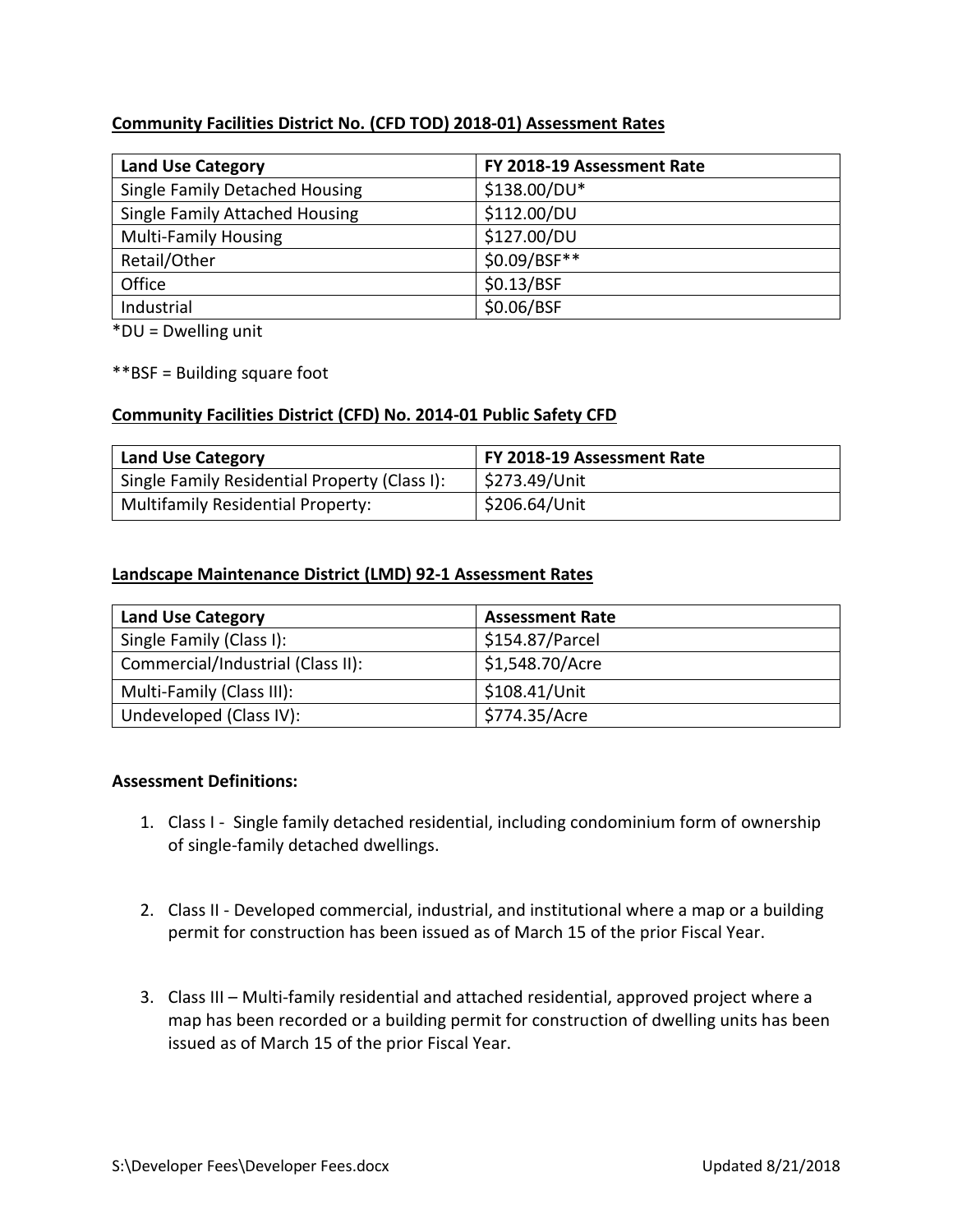## **Community Facilities District No. (CFD TOD) 2018-01) Assessment Rates**

| <b>Land Use Category</b>              | FY 2018-19 Assessment Rate |
|---------------------------------------|----------------------------|
| Single Family Detached Housing        | \$138.00/DU*               |
| <b>Single Family Attached Housing</b> | \$112.00/DU                |
| <b>Multi-Family Housing</b>           | \$127.00/DU                |
| Retail/Other                          | \$0.09/BSF**               |
| Office                                | \$0.13/BSF                 |
| Industrial                            | \$0.06/BSF                 |

\*DU = Dwelling unit

\*\*BSF = Building square foot

## **Community Facilities District (CFD) No. 2014-01 Public Safety CFD**

| <b>Land Use Category</b>                      | FY 2018-19 Assessment Rate |
|-----------------------------------------------|----------------------------|
| Single Family Residential Property (Class I): | \$273.49/Unit              |
| <b>Multifamily Residential Property:</b>      | S206.64/Unit               |

## **Landscape Maintenance District (LMD) 92-1 Assessment Rates**

| <b>Land Use Category</b>          | <b>Assessment Rate</b> |
|-----------------------------------|------------------------|
| Single Family (Class I):          | \$154.87/Parcel        |
| Commercial/Industrial (Class II): | \$1,548.70/Acre        |
| Multi-Family (Class III):         | \$108.41/Unit          |
| Undeveloped (Class IV):           | \$774.35/Acre          |

#### **Assessment Definitions:**

- 1. Class I Single family detached residential, including condominium form of ownership of single-family detached dwellings.
- 2. Class II Developed commercial, industrial, and institutional where a map or a building permit for construction has been issued as of March 15 of the prior Fiscal Year.
- 3. Class III Multi-family residential and attached residential, approved project where a map has been recorded or a building permit for construction of dwelling units has been issued as of March 15 of the prior Fiscal Year.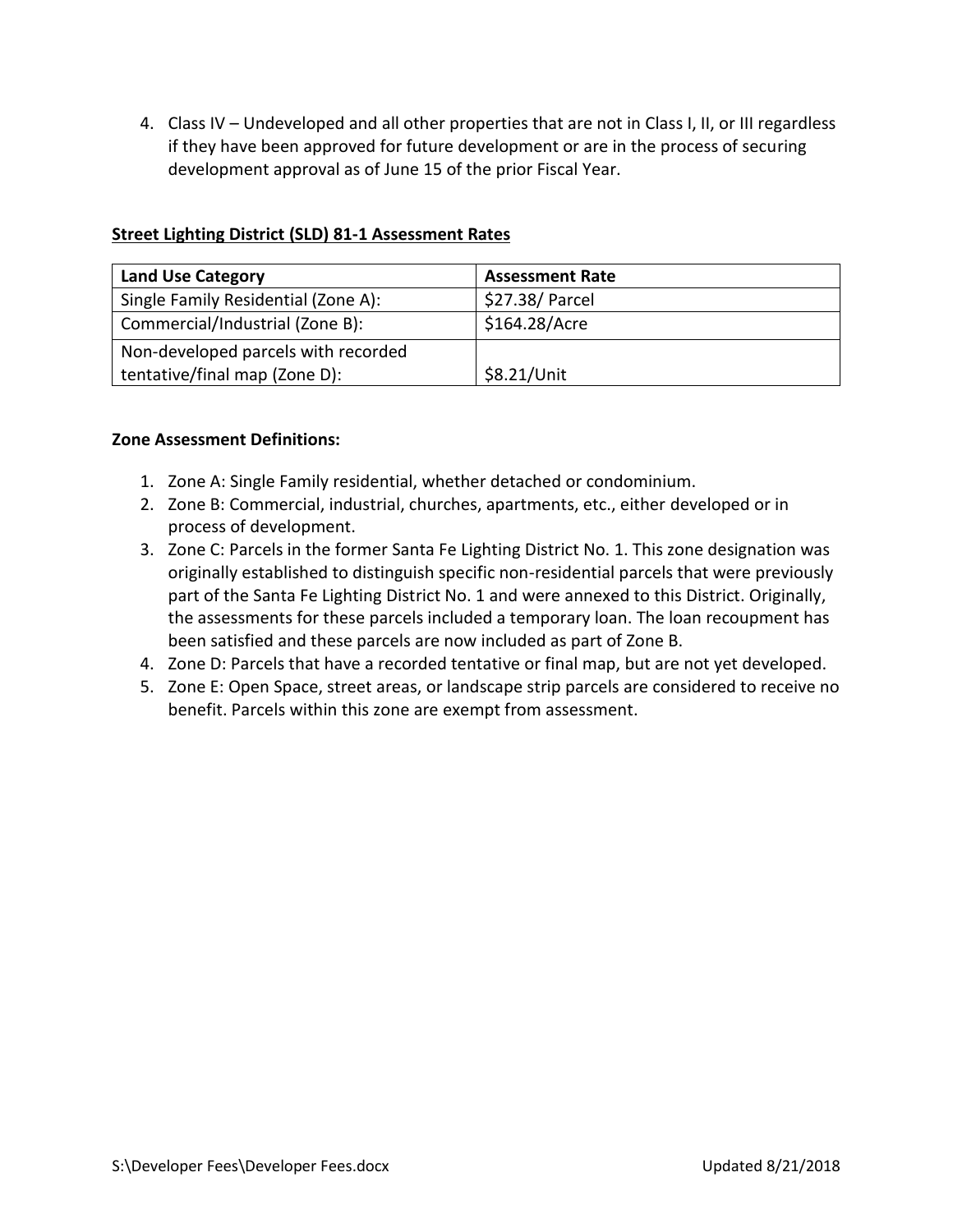4. Class IV – Undeveloped and all other properties that are not in Class I, II, or III regardless if they have been approved for future development or are in the process of securing development approval as of June 15 of the prior Fiscal Year.

|  |  |  | <b>Street Lighting District (SLD) 81-1 Assessment Rates</b> |
|--|--|--|-------------------------------------------------------------|
|--|--|--|-------------------------------------------------------------|

| <b>Land Use Category</b>            | <b>Assessment Rate</b> |
|-------------------------------------|------------------------|
| Single Family Residential (Zone A): | \$27.38/ Parcel        |
| Commercial/Industrial (Zone B):     | \$164.28/Acre          |
| Non-developed parcels with recorded |                        |
| tentative/final map (Zone D):       | \$8.21/Unit            |

## **Zone Assessment Definitions:**

- 1. Zone A: Single Family residential, whether detached or condominium.
- 2. Zone B: Commercial, industrial, churches, apartments, etc., either developed or in process of development.
- 3. Zone C: Parcels in the former Santa Fe Lighting District No. 1. This zone designation was originally established to distinguish specific non-residential parcels that were previously part of the Santa Fe Lighting District No. 1 and were annexed to this District. Originally, the assessments for these parcels included a temporary loan. The loan recoupment has been satisfied and these parcels are now included as part of Zone B.
- 4. Zone D: Parcels that have a recorded tentative or final map, but are not yet developed.
- 5. Zone E: Open Space, street areas, or landscape strip parcels are considered to receive no benefit. Parcels within this zone are exempt from assessment.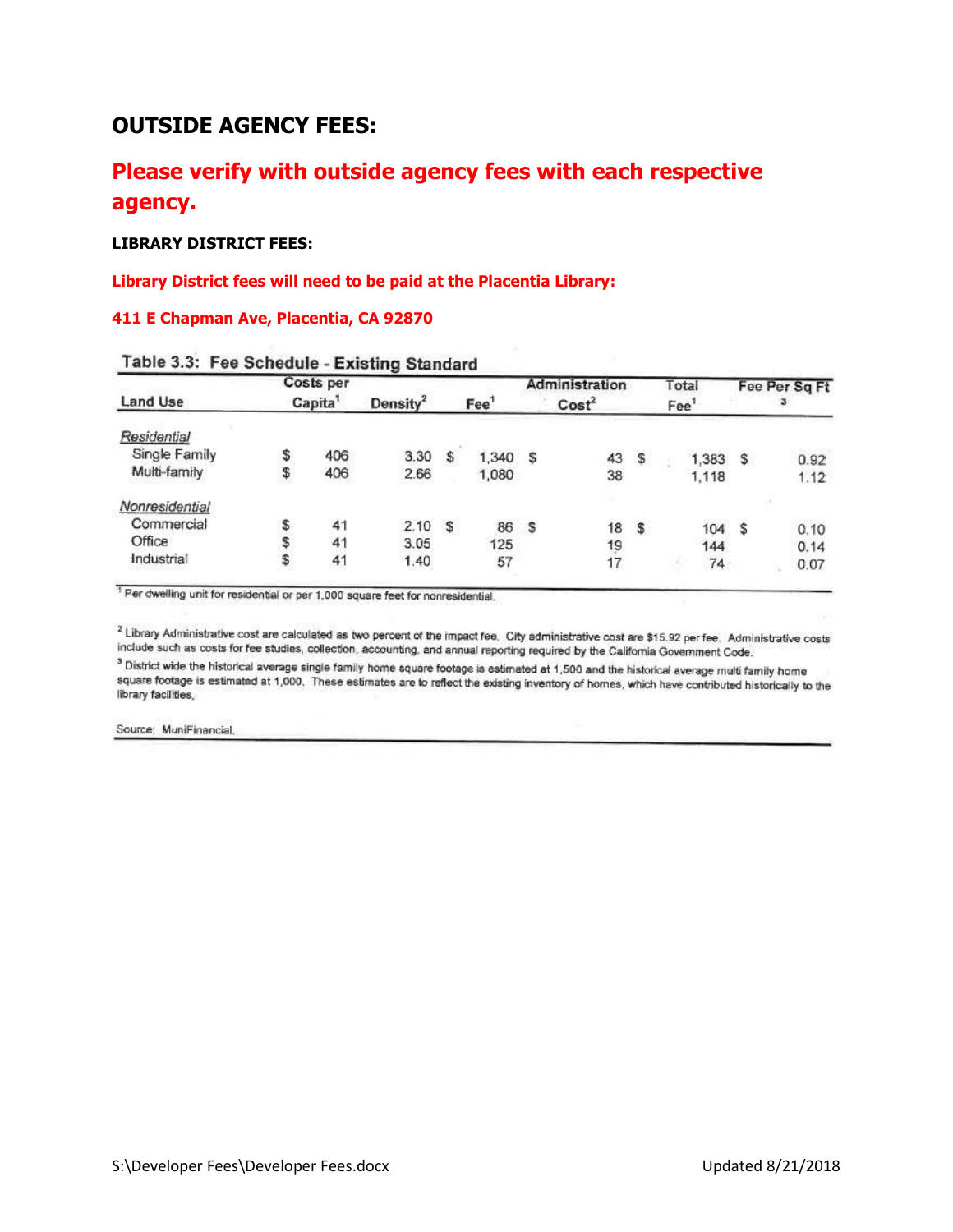# **OUTSIDE AGENCY FEES:**

# **Please verify with outside agency fees with each respective agency.**

#### **LIBRARY DISTRICT FEES:**

#### **Library District fees will need to be paid at the Placentia Library:**

#### **411 E Chapman Ave, Placentia, CA 92870**

|    |     |                                  |              |       |                  |                   |          |                           |       |                                                  | Fee Per Sq Ft       |
|----|-----|----------------------------------|--------------|-------|------------------|-------------------|----------|---------------------------|-------|--------------------------------------------------|---------------------|
|    |     | Density <sup>2</sup>             |              |       |                  | Cost <sup>2</sup> |          |                           |       |                                                  |                     |
|    |     |                                  |              |       |                  |                   |          |                           |       |                                                  |                     |
|    | 406 | 3.30                             | s            | 1,340 | s                | 43                |          |                           |       |                                                  | 0.92                |
| \$ | 406 | 2.66                             |              | 1,080 |                  | 38                |          |                           | 1,118 |                                                  | 1.12                |
|    |     |                                  |              |       |                  |                   |          |                           |       |                                                  |                     |
| \$ | 41  | 2.10                             | $\mathbb{S}$ | 86    | \$               |                   |          |                           |       |                                                  | 0.10                |
| s  | 41  | 3.05                             |              | 125   |                  |                   |          |                           |       |                                                  | 0.14                |
|    | 41  | 1.40                             |              |       |                  | 17                |          |                           |       |                                                  | 0.07                |
|    |     | Costs per<br>Capita <sup>1</sup> |              |       | Fee <sup>1</sup> |                   | 18<br>19 | Administration<br>s<br>\$ |       | Total<br>Fee <sup>1</sup><br>1,383<br>104<br>144 | \$<br>s<br>57<br>74 |

|  |  | Table 3.3: Fee Schedule - Existing Standard |
|--|--|---------------------------------------------|
|--|--|---------------------------------------------|

<sup>1</sup> Per dwelling unit for residential or per 1,000 square feet for nonresidential.

<sup>2</sup> Library Administrative cost are calculated as two percent of the impact fee. City administrative cost are \$15.92 per fee. Administrative costs include such as costs for fee studies, collection, accounting, and annual reporting required by the California Government Code.

3 District wide the historical average single family home square footage is estimated at 1,500 and the historical average multi family home square footage is estimated at 1,000. These estimates are to reflect the existing inventory of homes, which have contributed historically to the library facilities,

Source: MuniFinancial.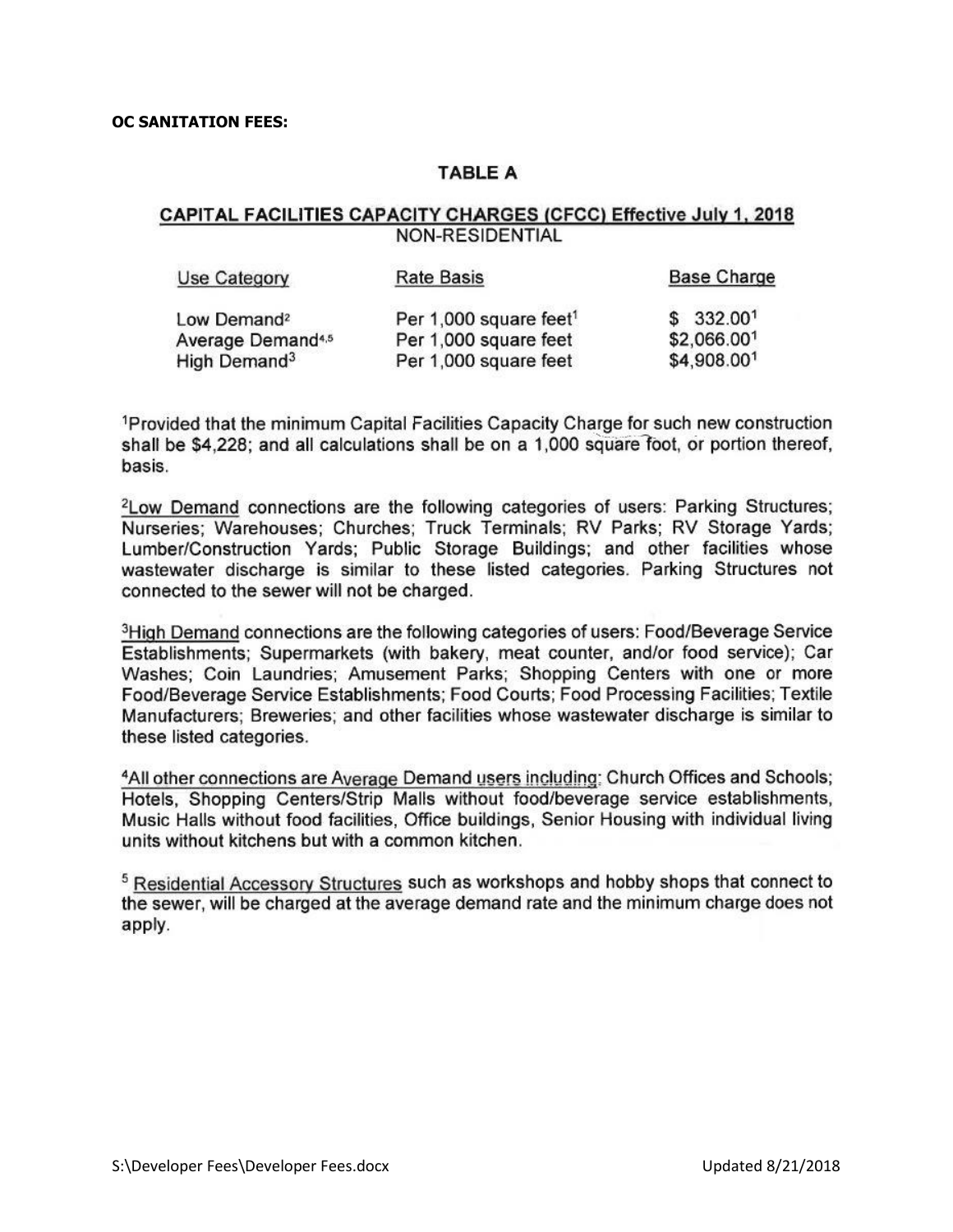#### **OC SANITATION FEES:**

## **TABLE A**

### CAPITAL FACILITIES CAPACITY CHARGES (CFCC) Effective July 1, 2018 NON-RESIDENTIAL

| Use Category                  | Rate Basis                         | <b>Base Charge</b>    |
|-------------------------------|------------------------------------|-----------------------|
| Low Demand <sup>2</sup>       | Per 1,000 square feet <sup>1</sup> | \$332.00 <sup>1</sup> |
| Average Demand <sup>4,5</sup> | Per 1,000 square feet              | \$2,066.001           |
| High Demand <sup>3</sup>      | Per 1,000 square feet              | \$4,908.001           |

<sup>1</sup>Provided that the minimum Capital Facilities Capacity Charge for such new construction shall be \$4,228; and all calculations shall be on a 1,000 square foot, or portion thereof, basis.

<sup>2</sup>Low Demand connections are the following categories of users: Parking Structures; Nurseries; Warehouses; Churches; Truck Terminals; RV Parks; RV Storage Yards; Lumber/Construction Yards; Public Storage Buildings; and other facilities whose wastewater discharge is similar to these listed categories. Parking Structures not connected to the sewer will not be charged.

<sup>3</sup>High Demand connections are the following categories of users: Food/Beverage Service Establishments: Supermarkets (with bakery, meat counter, and/or food service); Car Washes; Coin Laundries; Amusement Parks; Shopping Centers with one or more Food/Beverage Service Establishments; Food Courts; Food Processing Facilities; Textile Manufacturers: Breweries: and other facilities whose wastewater discharge is similar to these listed categories.

<sup>4</sup>All other connections are Average Demand users including: Church Offices and Schools; Hotels, Shopping Centers/Strip Malls without food/beverage service establishments, Music Halls without food facilities, Office buildings, Senior Housing with individual living units without kitchens but with a common kitchen.

<sup>5</sup> Residential Accessory Structures such as workshops and hobby shops that connect to the sewer, will be charged at the average demand rate and the minimum charge does not apply.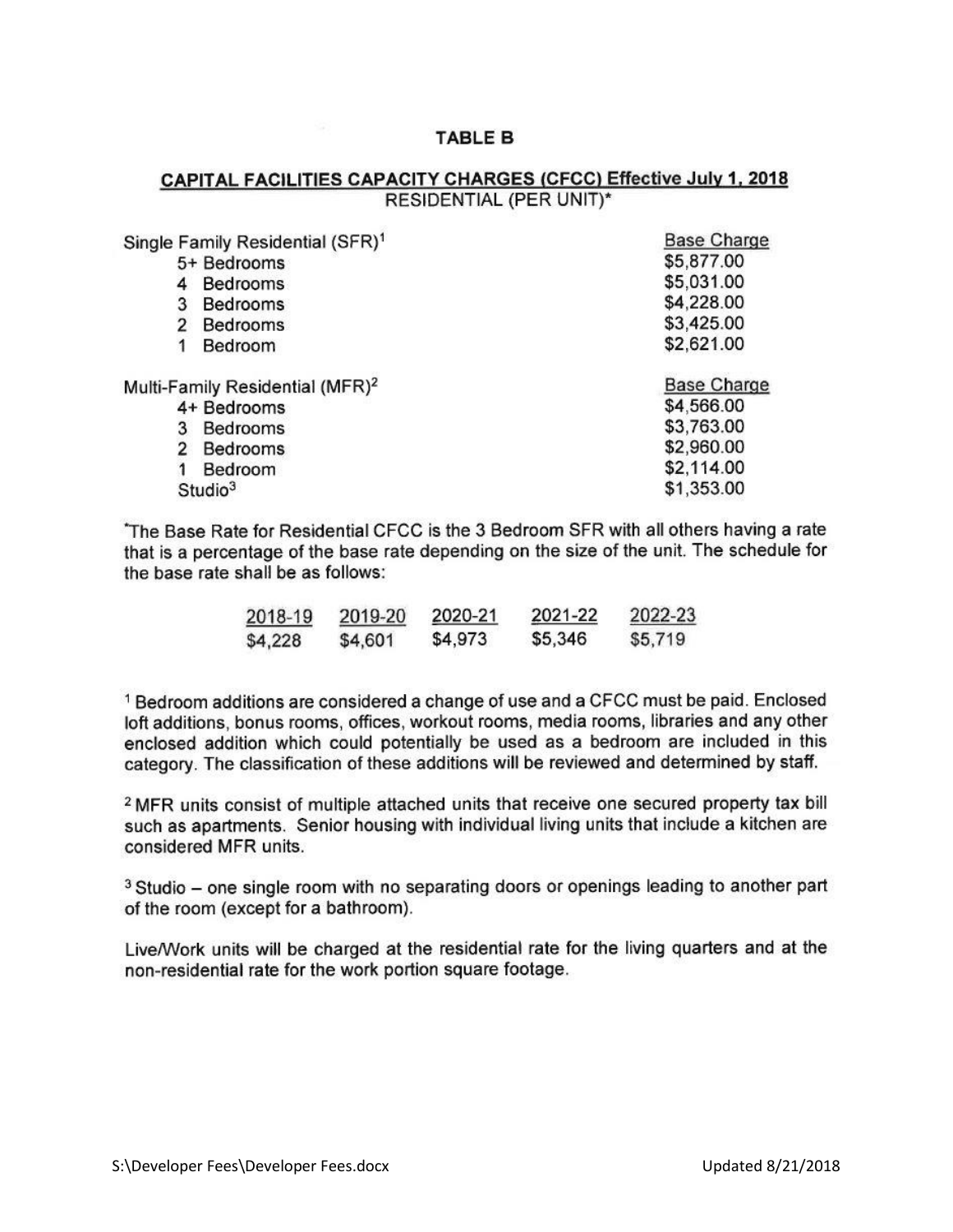## **TABLE B**

## CAPITAL FACILITIES CAPACITY CHARGES (CFCC) Effective July 1, 2018 RESIDENTIAL (PER UNIT)\*

| Single Family Residential (SFR) <sup>1</sup> | <b>Base Charge</b> |
|----------------------------------------------|--------------------|
| 5+ Bedrooms                                  | \$5,877.00         |
| <b>Bedrooms</b>                              | \$5,031.00         |
| 3<br><b>Bedrooms</b>                         | \$4,228.00         |
| <b>Bedrooms</b><br>$\overline{2}$            | \$3,425.00         |
| Bedroom                                      | \$2,621.00         |
| Multi-Family Residential (MFR) <sup>2</sup>  | <b>Base Charge</b> |
| 4+ Bedrooms                                  | \$4,566.00         |
| <b>Bedrooms</b><br>3                         | \$3,763.00         |
| $\overline{2}$<br>Bedrooms                   | \$2,960.00         |
| Bedroom                                      | \$2,114.00         |
| Studio <sup>3</sup>                          | \$1,353.00         |

The Base Rate for Residential CFCC is the 3 Bedroom SFR with all others having a rate that is a percentage of the base rate depending on the size of the unit. The schedule for the base rate shall be as follows:

| 2018-19 | 2019-20 | 2020-21 | 2021-22 | 2022-23 |
|---------|---------|---------|---------|---------|
| \$4,228 | \$4,601 | \$4,973 | \$5,346 | \$5,719 |

<sup>1</sup> Bedroom additions are considered a change of use and a CFCC must be paid. Enclosed loft additions, bonus rooms, offices, workout rooms, media rooms, libraries and any other enclosed addition which could potentially be used as a bedroom are included in this category. The classification of these additions will be reviewed and determined by staff.

<sup>2</sup> MFR units consist of multiple attached units that receive one secured property tax bill such as apartments. Senior housing with individual living units that include a kitchen are considered MFR units.

<sup>3</sup> Studio – one single room with no separating doors or openings leading to another part of the room (except for a bathroom).

Live/Work units will be charged at the residential rate for the living quarters and at the non-residential rate for the work portion square footage.